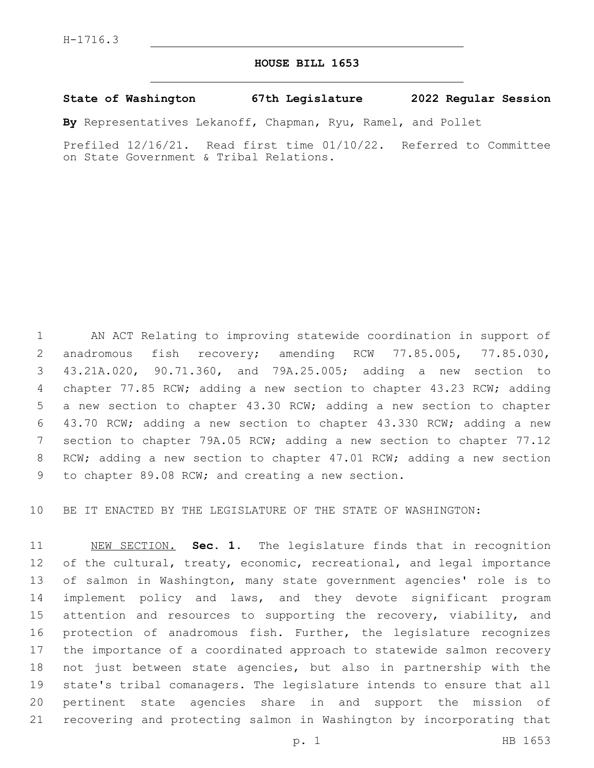## **HOUSE BILL 1653**

## **State of Washington 67th Legislature 2022 Regular Session**

**By** Representatives Lekanoff, Chapman, Ryu, Ramel, and Pollet

Prefiled 12/16/21. Read first time 01/10/22. Referred to Committee on State Government & Tribal Relations.

 AN ACT Relating to improving statewide coordination in support of 2 anadromous fish recovery; amending RCW 77.85.005, 77.85.030, 43.21A.020, 90.71.360, and 79A.25.005; adding a new section to chapter 77.85 RCW; adding a new section to chapter 43.23 RCW; adding a new section to chapter 43.30 RCW; adding a new section to chapter 43.70 RCW; adding a new section to chapter 43.330 RCW; adding a new section to chapter 79A.05 RCW; adding a new section to chapter 77.12 RCW; adding a new section to chapter 47.01 RCW; adding a new section 9 to chapter 89.08 RCW; and creating a new section.

BE IT ENACTED BY THE LEGISLATURE OF THE STATE OF WASHINGTON:

 NEW SECTION. **Sec. 1.** The legislature finds that in recognition 12 of the cultural, treaty, economic, recreational, and legal importance of salmon in Washington, many state government agencies' role is to implement policy and laws, and they devote significant program 15 attention and resources to supporting the recovery, viability, and protection of anadromous fish. Further, the legislature recognizes the importance of a coordinated approach to statewide salmon recovery not just between state agencies, but also in partnership with the state's tribal comanagers. The legislature intends to ensure that all pertinent state agencies share in and support the mission of recovering and protecting salmon in Washington by incorporating that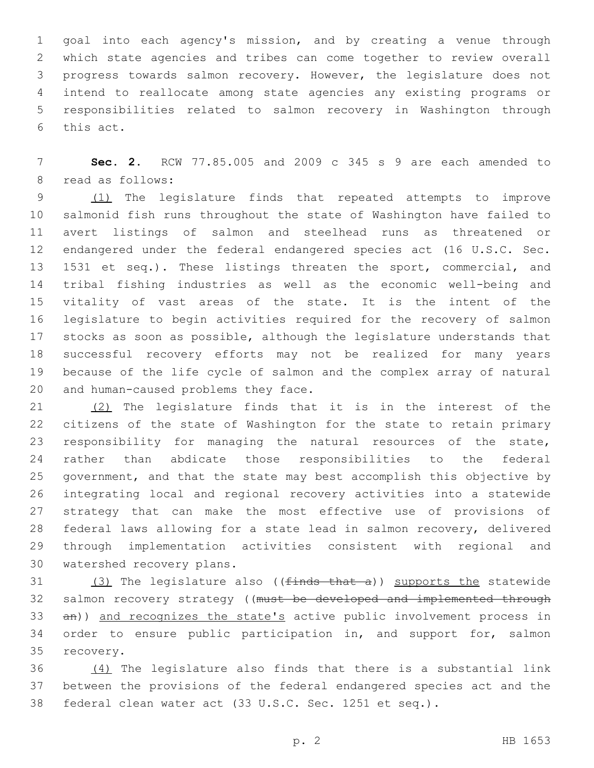goal into each agency's mission, and by creating a venue through which state agencies and tribes can come together to review overall progress towards salmon recovery. However, the legislature does not intend to reallocate among state agencies any existing programs or responsibilities related to salmon recovery in Washington through 6 this act.

 **Sec. 2.** RCW 77.85.005 and 2009 c 345 s 9 are each amended to 8 read as follows:

9 (1) The legislature finds that repeated attempts to improve salmonid fish runs throughout the state of Washington have failed to avert listings of salmon and steelhead runs as threatened or endangered under the federal endangered species act (16 U.S.C. Sec. 1531 et seq.). These listings threaten the sport, commercial, and tribal fishing industries as well as the economic well-being and vitality of vast areas of the state. It is the intent of the legislature to begin activities required for the recovery of salmon stocks as soon as possible, although the legislature understands that successful recovery efforts may not be realized for many years because of the life cycle of salmon and the complex array of natural 20 and human-caused problems they face.

 (2) The legislature finds that it is in the interest of the citizens of the state of Washington for the state to retain primary responsibility for managing the natural resources of the state, rather than abdicate those responsibilities to the federal government, and that the state may best accomplish this objective by integrating local and regional recovery activities into a statewide strategy that can make the most effective use of provisions of federal laws allowing for a state lead in salmon recovery, delivered through implementation activities consistent with regional and 30 watershed recovery plans.

31  $(3)$  The legislature also (( $finds$  that a)) supports the statewide 32 salmon recovery strategy ((must be developed and implemented through 33 an)) and recognizes the state's active public involvement process in 34 order to ensure public participation in, and support for, salmon 35 recovery.

 (4) The legislature also finds that there is a substantial link between the provisions of the federal endangered species act and the federal clean water act (33 U.S.C. Sec. 1251 et seq.).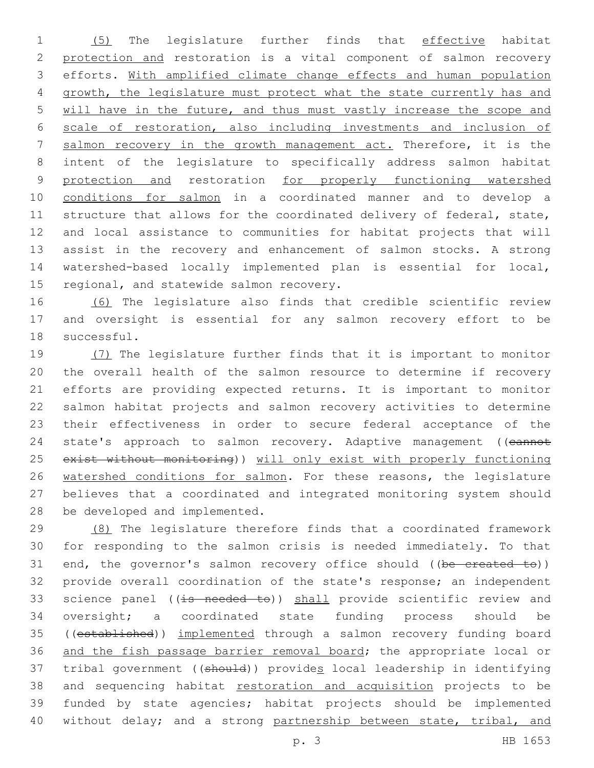(5) The legislature further finds that effective habitat protection and restoration is a vital component of salmon recovery efforts. With amplified climate change effects and human population growth, the legislature must protect what the state currently has and will have in the future, and thus must vastly increase the scope and scale of restoration, also including investments and inclusion of salmon recovery in the growth management act. Therefore, it is the intent of the legislature to specifically address salmon habitat 9 protection and restoration for properly functioning watershed conditions for salmon in a coordinated manner and to develop a 11 structure that allows for the coordinated delivery of federal, state, and local assistance to communities for habitat projects that will assist in the recovery and enhancement of salmon stocks. A strong watershed-based locally implemented plan is essential for local, 15 regional, and statewide salmon recovery.

 (6) The legislature also finds that credible scientific review and oversight is essential for any salmon recovery effort to be 18 successful.

 (7) The legislature further finds that it is important to monitor the overall health of the salmon resource to determine if recovery efforts are providing expected returns. It is important to monitor salmon habitat projects and salmon recovery activities to determine their effectiveness in order to secure federal acceptance of the 24 state's approach to salmon recovery. Adaptive management ((cannot exist without monitoring)) will only exist with properly functioning watershed conditions for salmon. For these reasons, the legislature believes that a coordinated and integrated monitoring system should 28 be developed and implemented.

 (8) The legislature therefore finds that a coordinated framework for responding to the salmon crisis is needed immediately. To that 31 end, the governor's salmon recovery office should ((be created to)) provide overall coordination of the state's response; an independent 33 science panel ((is needed to)) shall provide scientific review and oversight; a coordinated state funding process should be ((established)) implemented through a salmon recovery funding board and the fish passage barrier removal board; the appropriate local or tribal government ((should)) provides local leadership in identifying 38 and sequencing habitat restoration and acquisition projects to be funded by state agencies; habitat projects should be implemented 40 without delay; and a strong partnership between state, tribal, and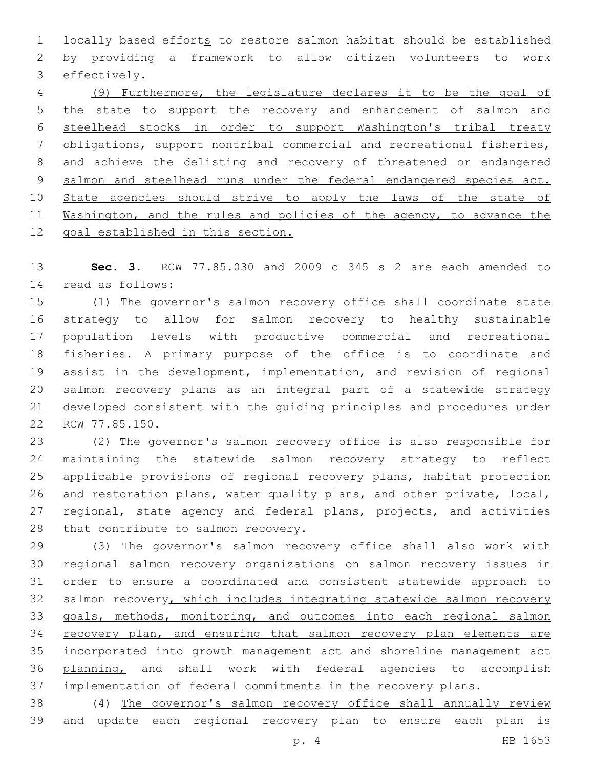1 locally based efforts to restore salmon habitat should be established by providing a framework to allow citizen volunteers to work 3 effectively.

 (9) Furthermore, the legislature declares it to be the goal of the state to support the recovery and enhancement of salmon and steelhead stocks in order to support Washington's tribal treaty obligations, support nontribal commercial and recreational fisheries, and achieve the delisting and recovery of threatened or endangered 9 salmon and steelhead runs under the federal endangered species act. 10 State agencies should strive to apply the laws of the state of Washington, and the rules and policies of the agency, to advance the goal established in this section.

 **Sec. 3.** RCW 77.85.030 and 2009 c 345 s 2 are each amended to read as follows:14

 (1) The governor's salmon recovery office shall coordinate state strategy to allow for salmon recovery to healthy sustainable population levels with productive commercial and recreational fisheries. A primary purpose of the office is to coordinate and assist in the development, implementation, and revision of regional salmon recovery plans as an integral part of a statewide strategy developed consistent with the guiding principles and procedures under 22 RCW 77.85.150.

 (2) The governor's salmon recovery office is also responsible for maintaining the statewide salmon recovery strategy to reflect applicable provisions of regional recovery plans, habitat protection and restoration plans, water quality plans, and other private, local, 27 regional, state agency and federal plans, projects, and activities 28 that contribute to salmon recovery.

 (3) The governor's salmon recovery office shall also work with regional salmon recovery organizations on salmon recovery issues in order to ensure a coordinated and consistent statewide approach to 32 salmon recovery, which includes integrating statewide salmon recovery goals, methods, monitoring, and outcomes into each regional salmon 34 recovery plan, and ensuring that salmon recovery plan elements are incorporated into growth management act and shoreline management act planning, and shall work with federal agencies to accomplish implementation of federal commitments in the recovery plans.

 (4) The governor's salmon recovery office shall annually review and update each regional recovery plan to ensure each plan is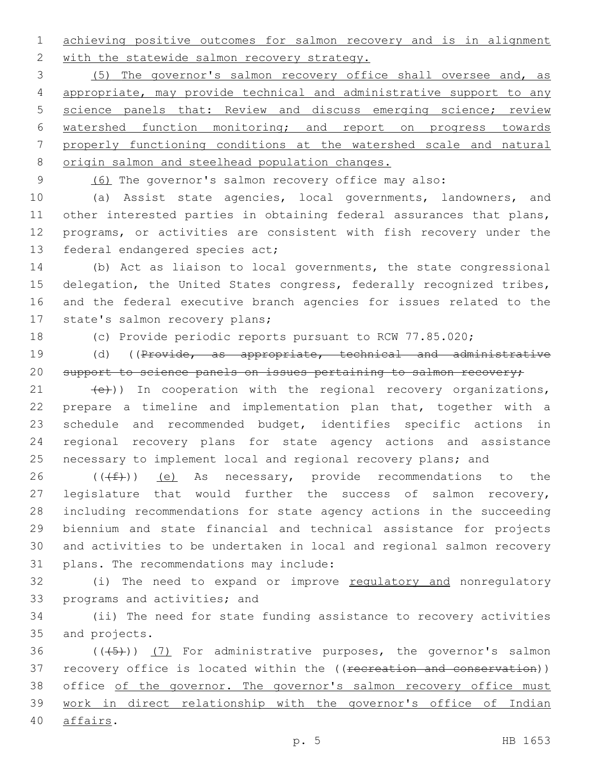1 achieving positive outcomes for salmon recovery and is in alignment 2 with the statewide salmon recovery strategy.

 (5) The governor's salmon recovery office shall oversee and, as appropriate, may provide technical and administrative support to any science panels that: Review and discuss emerging science; review watershed function monitoring; and report on progress towards properly functioning conditions at the watershed scale and natural 8 origin salmon and steelhead population changes.

9 (6) The governor's salmon recovery office may also:

 (a) Assist state agencies, local governments, landowners, and other interested parties in obtaining federal assurances that plans, programs, or activities are consistent with fish recovery under the 13 federal endangered species act;

14 (b) Act as liaison to local governments, the state congressional 15 delegation, the United States congress, federally recognized tribes, 16 and the federal executive branch agencies for issues related to the 17 state's salmon recovery plans;

18 (c) Provide periodic reports pursuant to RCW 77.85.020;

19 (d) ((Provide, as appropriate, technical and administrative 20 support to science panels on issues pertaining to salmon recovery;

 $(21 + (e))$ ) In cooperation with the regional recovery organizations, prepare a timeline and implementation plan that, together with a schedule and recommended budget, identifies specific actions in regional recovery plans for state agency actions and assistance necessary to implement local and regional recovery plans; and

26 ( $(\text{+f})$ ) (e) As necessary, provide recommendations to the legislature that would further the success of salmon recovery, including recommendations for state agency actions in the succeeding biennium and state financial and technical assistance for projects and activities to be undertaken in local and regional salmon recovery 31 plans. The recommendations may include:

32 (i) The need to expand or improve regulatory and nonregulatory 33 programs and activities; and

34 (ii) The need for state funding assistance to recovery activities 35 and projects.

36  $((+5+))$   $(7)$  For administrative purposes, the governor's salmon 37 recovery office is located within the ((recreation and conservation)) 38 office of the governor. The governor's salmon recovery office must 39 work in direct relationship with the governor's office of Indian 40 affairs.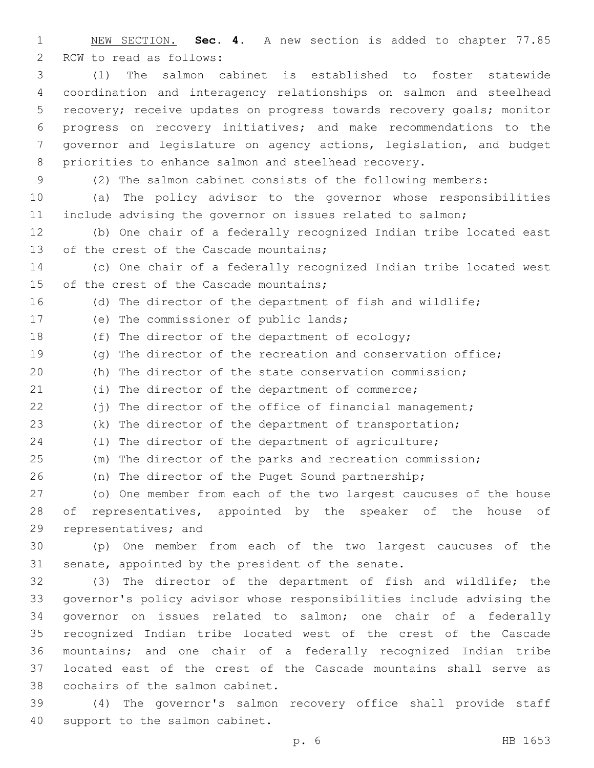NEW SECTION. **Sec. 4.** A new section is added to chapter 77.85 2 RCW to read as follows:

 (1) The salmon cabinet is established to foster statewide coordination and interagency relationships on salmon and steelhead recovery; receive updates on progress towards recovery goals; monitor progress on recovery initiatives; and make recommendations to the governor and legislature on agency actions, legislation, and budget priorities to enhance salmon and steelhead recovery.

(2) The salmon cabinet consists of the following members:

 (a) The policy advisor to the governor whose responsibilities include advising the governor on issues related to salmon;

 (b) One chair of a federally recognized Indian tribe located east 13 of the crest of the Cascade mountains;

 (c) One chair of a federally recognized Indian tribe located west 15 of the crest of the Cascade mountains;

(d) The director of the department of fish and wildlife;

17 (e) The commissioner of public lands;

18 (f) The director of the department of ecology;

(g) The director of the recreation and conservation office;

(h) The director of the state conservation commission;

(i) The director of the department of commerce;

22 (i) The director of the office of financial management;

(k) The director of the department of transportation;

(l) The director of the department of agriculture;

(m) The director of the parks and recreation commission;

(n) The director of the Puget Sound partnership;

 (o) One member from each of the two largest caucuses of the house 28 of representatives, appointed by the speaker of the house of 29 representatives; and

 (p) One member from each of the two largest caucuses of the 31 senate, appointed by the president of the senate.

 (3) The director of the department of fish and wildlife; the governor's policy advisor whose responsibilities include advising the governor on issues related to salmon; one chair of a federally recognized Indian tribe located west of the crest of the Cascade mountains; and one chair of a federally recognized Indian tribe located east of the crest of the Cascade mountains shall serve as 38 cochairs of the salmon cabinet.

 (4) The governor's salmon recovery office shall provide staff 40 support to the salmon cabinet.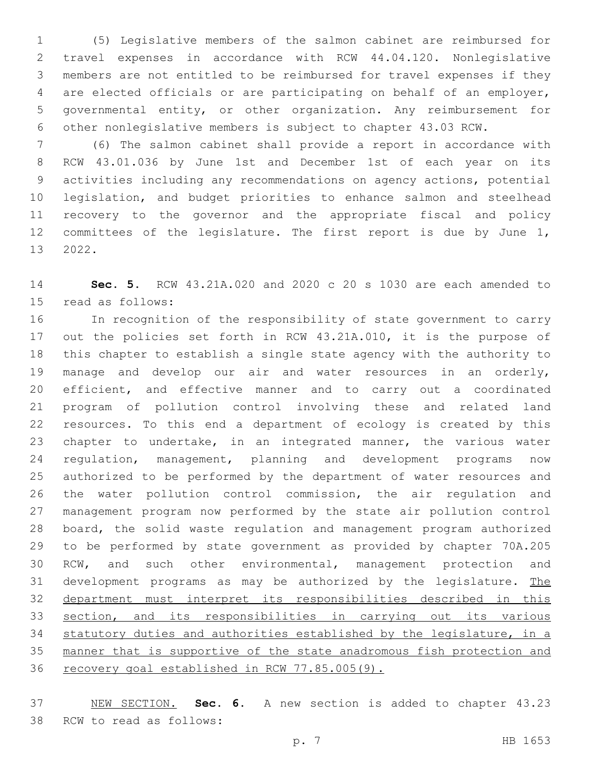(5) Legislative members of the salmon cabinet are reimbursed for travel expenses in accordance with RCW 44.04.120. Nonlegislative members are not entitled to be reimbursed for travel expenses if they are elected officials or are participating on behalf of an employer, governmental entity, or other organization. Any reimbursement for other nonlegislative members is subject to chapter 43.03 RCW.

 (6) The salmon cabinet shall provide a report in accordance with RCW 43.01.036 by June 1st and December 1st of each year on its activities including any recommendations on agency actions, potential legislation, and budget priorities to enhance salmon and steelhead recovery to the governor and the appropriate fiscal and policy committees of the legislature. The first report is due by June 1, 13 2022.

 **Sec. 5.** RCW 43.21A.020 and 2020 c 20 s 1030 are each amended to 15 read as follows:

 In recognition of the responsibility of state government to carry out the policies set forth in RCW 43.21A.010, it is the purpose of this chapter to establish a single state agency with the authority to manage and develop our air and water resources in an orderly, efficient, and effective manner and to carry out a coordinated program of pollution control involving these and related land resources. To this end a department of ecology is created by this chapter to undertake, in an integrated manner, the various water regulation, management, planning and development programs now authorized to be performed by the department of water resources and the water pollution control commission, the air regulation and management program now performed by the state air pollution control board, the solid waste regulation and management program authorized to be performed by state government as provided by chapter 70A.205 RCW, and such other environmental, management protection and 31 development programs as may be authorized by the legislature. The department must interpret its responsibilities described in this section, and its responsibilities in carrying out its various statutory duties and authorities established by the legislature, in a manner that is supportive of the state anadromous fish protection and recovery goal established in RCW 77.85.005(9).

 NEW SECTION. **Sec. 6.** A new section is added to chapter 43.23 38 RCW to read as follows: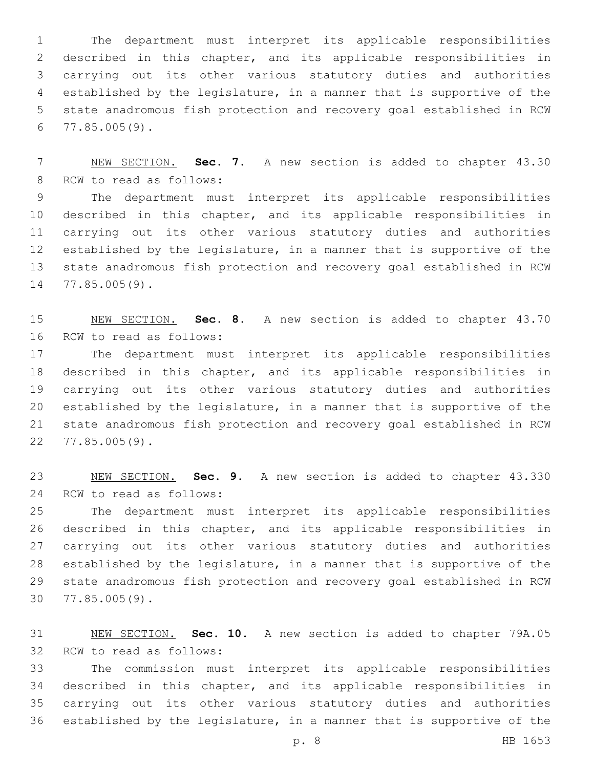The department must interpret its applicable responsibilities described in this chapter, and its applicable responsibilities in carrying out its other various statutory duties and authorities established by the legislature, in a manner that is supportive of the state anadromous fish protection and recovery goal established in RCW 77.85.005(9).

 NEW SECTION. **Sec. 7.** A new section is added to chapter 43.30 8 RCW to read as follows:

 The department must interpret its applicable responsibilities described in this chapter, and its applicable responsibilities in carrying out its other various statutory duties and authorities established by the legislature, in a manner that is supportive of the state anadromous fish protection and recovery goal established in RCW 14 77.85.005(9).

 NEW SECTION. **Sec. 8.** A new section is added to chapter 43.70 16 RCW to read as follows:

 The department must interpret its applicable responsibilities described in this chapter, and its applicable responsibilities in carrying out its other various statutory duties and authorities established by the legislature, in a manner that is supportive of the state anadromous fish protection and recovery goal established in RCW 77.85.005(9).22

 NEW SECTION. **Sec. 9.** A new section is added to chapter 43.330 24 RCW to read as follows:

 The department must interpret its applicable responsibilities described in this chapter, and its applicable responsibilities in carrying out its other various statutory duties and authorities established by the legislature, in a manner that is supportive of the state anadromous fish protection and recovery goal established in RCW 77.85.005(9).30

 NEW SECTION. **Sec. 10.** A new section is added to chapter 79A.05 32 RCW to read as follows:

 The commission must interpret its applicable responsibilities described in this chapter, and its applicable responsibilities in carrying out its other various statutory duties and authorities established by the legislature, in a manner that is supportive of the

p. 8 HB 1653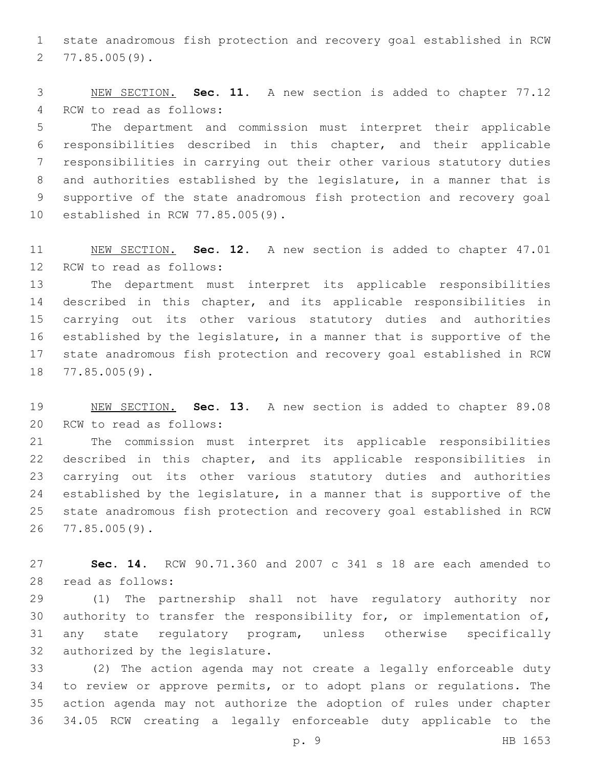state anadromous fish protection and recovery goal established in RCW 77.85.005(9).2

 NEW SECTION. **Sec. 11.** A new section is added to chapter 77.12 4 RCW to read as follows:

 The department and commission must interpret their applicable responsibilities described in this chapter, and their applicable responsibilities in carrying out their other various statutory duties and authorities established by the legislature, in a manner that is supportive of the state anadromous fish protection and recovery goal 10 established in RCW 77.85.005(9).

 NEW SECTION. **Sec. 12.** A new section is added to chapter 47.01 12 RCW to read as follows:

 The department must interpret its applicable responsibilities described in this chapter, and its applicable responsibilities in carrying out its other various statutory duties and authorities established by the legislature, in a manner that is supportive of the state anadromous fish protection and recovery goal established in RCW 18 77.85.005(9).

 NEW SECTION. **Sec. 13.** A new section is added to chapter 89.08 20 RCW to read as follows:

 The commission must interpret its applicable responsibilities described in this chapter, and its applicable responsibilities in carrying out its other various statutory duties and authorities established by the legislature, in a manner that is supportive of the state anadromous fish protection and recovery goal established in RCW 77.85.005(9).26

 **Sec. 14.** RCW 90.71.360 and 2007 c 341 s 18 are each amended to read as follows:28

 (1) The partnership shall not have regulatory authority nor 30 authority to transfer the responsibility for, or implementation of, any state regulatory program, unless otherwise specifically 32 authorized by the legislature.

 (2) The action agenda may not create a legally enforceable duty to review or approve permits, or to adopt plans or regulations. The action agenda may not authorize the adoption of rules under chapter 34.05 RCW creating a legally enforceable duty applicable to the

p. 9 HB 1653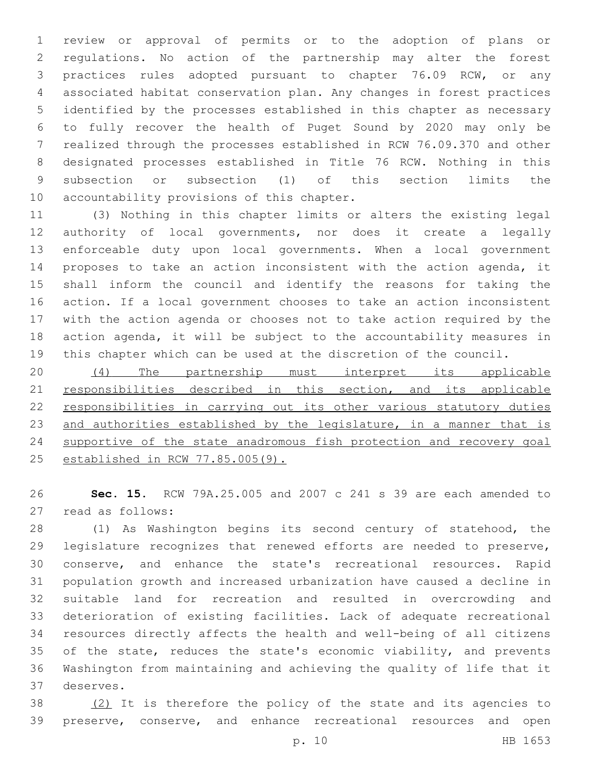review or approval of permits or to the adoption of plans or regulations. No action of the partnership may alter the forest practices rules adopted pursuant to chapter 76.09 RCW, or any associated habitat conservation plan. Any changes in forest practices identified by the processes established in this chapter as necessary to fully recover the health of Puget Sound by 2020 may only be realized through the processes established in RCW 76.09.370 and other designated processes established in Title 76 RCW. Nothing in this subsection or subsection (1) of this section limits the 10 accountability provisions of this chapter.

 (3) Nothing in this chapter limits or alters the existing legal authority of local governments, nor does it create a legally enforceable duty upon local governments. When a local government proposes to take an action inconsistent with the action agenda, it shall inform the council and identify the reasons for taking the action. If a local government chooses to take an action inconsistent with the action agenda or chooses not to take action required by the action agenda, it will be subject to the accountability measures in this chapter which can be used at the discretion of the council.

 (4) The partnership must interpret its applicable 21 responsibilities described in this section, and its applicable responsibilities in carrying out its other various statutory duties 23 and authorities established by the legislature, in a manner that is supportive of the state anadromous fish protection and recovery goal established in RCW 77.85.005(9).

 **Sec. 15.** RCW 79A.25.005 and 2007 c 241 s 39 are each amended to 27 read as follows:

 (1) As Washington begins its second century of statehood, the legislature recognizes that renewed efforts are needed to preserve, conserve, and enhance the state's recreational resources. Rapid population growth and increased urbanization have caused a decline in suitable land for recreation and resulted in overcrowding and deterioration of existing facilities. Lack of adequate recreational resources directly affects the health and well-being of all citizens 35 of the state, reduces the state's economic viability, and prevents Washington from maintaining and achieving the quality of life that it deserves.37

38 (2) It is therefore the policy of the state and its agencies to preserve, conserve, and enhance recreational resources and open